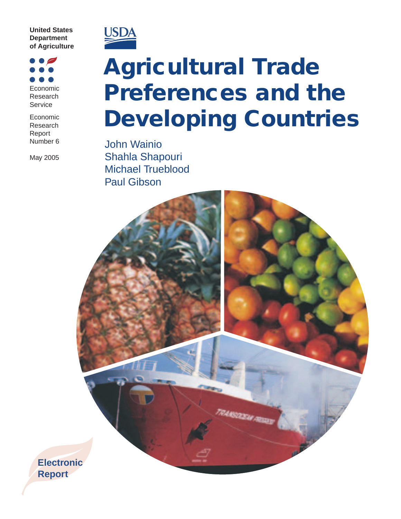

 $\bullet$ Economic Research Service

Economic Research Report Number<sub>6</sub>

May 2005



## **Agricultural Trade Preferences and the Developing Countries**

**John Wainio** Shahla Shapouri **Michael Trueblood Paul Gibson**